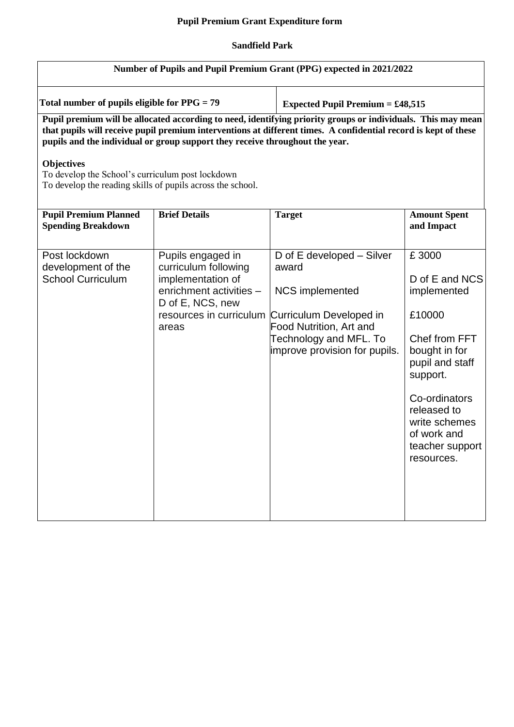## **Pupil Premium Grant Expenditure form**

## **Sandfield Park**

| Number of Pupils and Pupil Premium Grant (PPG) expected in 2021/2022                                                                                                                                                                                                                                                                                                                                                                                   |                                                                                                                                                   |                                                                                                                                                                                      |                                                                                                                                                                                                                    |  |
|--------------------------------------------------------------------------------------------------------------------------------------------------------------------------------------------------------------------------------------------------------------------------------------------------------------------------------------------------------------------------------------------------------------------------------------------------------|---------------------------------------------------------------------------------------------------------------------------------------------------|--------------------------------------------------------------------------------------------------------------------------------------------------------------------------------------|--------------------------------------------------------------------------------------------------------------------------------------------------------------------------------------------------------------------|--|
| Total number of pupils eligible for $PPG = 79$                                                                                                                                                                                                                                                                                                                                                                                                         |                                                                                                                                                   | <b>Expected Pupil Premium = £48,515</b>                                                                                                                                              |                                                                                                                                                                                                                    |  |
| Pupil premium will be allocated according to need, identifying priority groups or individuals. This may mean<br>that pupils will receive pupil premium interventions at different times. A confidential record is kept of these<br>pupils and the individual or group support they receive throughout the year.<br><b>Objectives</b><br>To develop the School's curriculum post lockdown<br>To develop the reading skills of pupils across the school. |                                                                                                                                                   |                                                                                                                                                                                      |                                                                                                                                                                                                                    |  |
| <b>Pupil Premium Planned</b><br><b>Spending Breakdown</b>                                                                                                                                                                                                                                                                                                                                                                                              | <b>Brief Details</b>                                                                                                                              | <b>Target</b>                                                                                                                                                                        | <b>Amount Spent</b><br>and Impact                                                                                                                                                                                  |  |
| Post lockdown<br>development of the<br><b>School Curriculum</b>                                                                                                                                                                                                                                                                                                                                                                                        | Pupils engaged in<br>curriculum following<br>implementation of<br>enrichment activities -<br>D of E, NCS, new<br>resources in curriculum<br>areas | D of E developed – Silver<br>award<br><b>NCS</b> implemented<br>Curriculum Developed in<br><b>Food Nutrition, Art and</b><br>Technology and MFL. To<br>improve provision for pupils. | £3000<br>D of E and NCS<br>implemented<br>£10000<br>Chef from FFT<br>bought in for<br>pupil and staff<br>support.<br>Co-ordinators<br>released to<br>write schemes<br>of work and<br>teacher support<br>resources. |  |